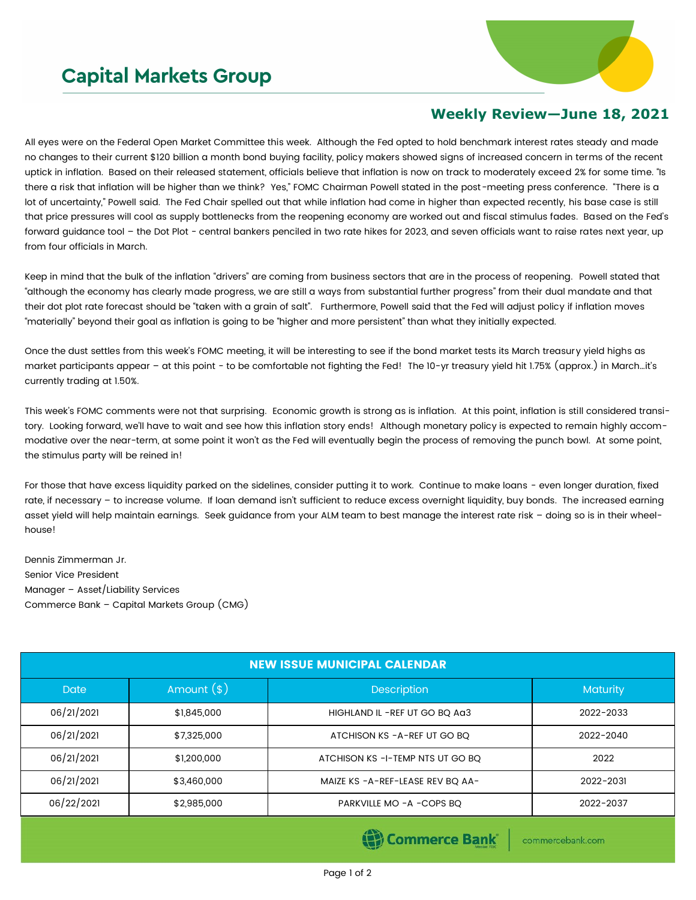## **Capital Markets Group**



## **Weekly Review—June 18, 2021**

All eyes were on the Federal Open Market Committee this week. Although the Fed opted to hold benchmark interest rates steady and made no changes to their current \$120 billion a month bond buying facility, policy makers showed signs of increased concern in terms of the recent uptick in inflation. Based on their released statement, officials believe that inflation is now on track to moderately exceed 2% for some time. "Is there a risk that inflation will be higher than we think? Yes," FOMC Chairman Powell stated in the post-meeting press conference. "There is a lot of uncertainty," Powell said. The Fed Chair spelled out that while inflation had come in higher than expected recently, his base case is still that price pressures will cool as supply bottlenecks from the reopening economy are worked out and fiscal stimulus fades. Based on the Fed's forward guidance tool - the Dot Plot - central bankers penciled in two rate hikes for 2023, and seven officials want to raise rates next year, up from four officials in March.

Keep in mind that the bulk of the inflation "drivers" are coming from business sectors that are in the process of reopening. Powell stated that "although the economy has clearly made progress, we are still a ways from substantial further progress" from their dual mandate and that their dot plot rate forecast should be "taken with a grain of salt". Furthermore, Powell said that the Fed will adjust policy if inflation moves "materially" beyond their goal as inflation is going to be "higher and more persistent" than what they initially expected.

Once the dust settles from this week's FOMC meeting, it will be interesting to see if the bond market tests its March treasury yield highs as market participants appear – at this point - to be comfortable not fighting the Fed! The 10-yr treasury yield hit 1.75% (approx.) in March…it's currently trading at 1.50%.

This week's FOMC comments were not that surprising. Economic growth is strong as is inflation. At this point, inflation is still considered transitory. Looking forward, we'll have to wait and see how this inflation story ends! Although monetary policy is expected to remain highly accommodative over the near-term, at some point it won't as the Fed will eventually begin the process of removing the punch bowl. At some point, the stimulus party will be reined in!

For those that have excess liquidity parked on the sidelines, consider putting it to work. Continue to make loans - even longer duration, fixed rate, if necessary – to increase volume. If loan demand isn't sufficient to reduce excess overnight liquidity, buy bonds. The increased earning asset yield will help maintain earnings. Seek guidance from your ALM team to best manage the interest rate risk – doing so is in their wheelhouse!

Dennis Zimmerman Jr. Senior Vice President Manager – Asset/Liability Services Commerce Bank – Capital Markets Group (CMG)

| <b>NEW ISSUE MUNICIPAL CALENDAR</b> |              |                                   |                 |  |  |  |
|-------------------------------------|--------------|-----------------------------------|-----------------|--|--|--|
| <b>Date</b>                         | Amount $(*)$ | <b>Description</b>                | <b>Maturity</b> |  |  |  |
| 06/21/2021                          | \$1,845,000  | HIGHLAND IL -REF UT GO BQ Aa3     | 2022-2033       |  |  |  |
| 06/21/2021                          | \$7,325,000  | ATCHISON KS - A-REF UT GO BQ      | 2022-2040       |  |  |  |
| 06/21/2021                          | \$1,200,000  | ATCHISON KS -I-TEMP NTS UT GO BQ  | 2022            |  |  |  |
| 06/21/2021                          | \$3,460,000  | MAIZE KS - A-REF-LEASE REV BQ AA- | 2022-2031       |  |  |  |
| 06/22/2021                          | \$2,985,000  | PARKVILLE MO -A -COPS BQ          | 2022-2037       |  |  |  |

Commerce Bank

commercebank.com